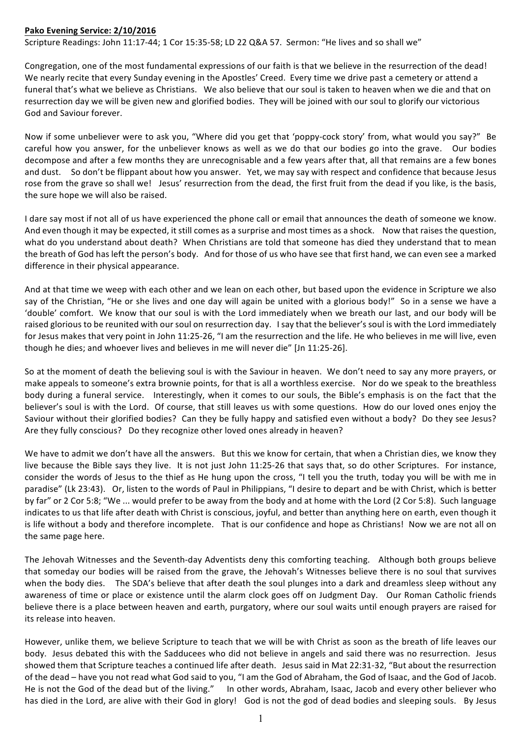## **Pako Evening Service: 2/10/2016**

Scripture Readings: John 11:17-44; 1 Cor 15:35-58; LD 22 Q&A 57. Sermon: "He lives and so shall we"

Congregation, one of the most fundamental expressions of our faith is that we believe in the resurrection of the dead! We nearly recite that every Sunday evening in the Apostles' Creed. Every time we drive past a cemetery or attend a funeral that's what we believe as Christians. We also believe that our soul is taken to heaven when we die and that on resurrection day we will be given new and glorified bodies. They will be joined with our soul to glorify our victorious God and Saviour forever.

Now if some unbeliever were to ask you, "Where did you get that 'poppy-cock story' from, what would you say?" Be careful how you answer, for the unbeliever knows as well as we do that our bodies go into the grave. Our bodies decompose and after a few months they are unrecognisable and a few years after that, all that remains are a few bones and dust. So don't be flippant about how you answer. Yet, we may say with respect and confidence that because Jesus rose from the grave so shall we! Jesus' resurrection from the dead, the first fruit from the dead if you like, is the basis, the sure hope we will also be raised.

I dare say most if not all of us have experienced the phone call or email that announces the death of someone we know. And even though it may be expected, it still comes as a surprise and most times as a shock. Now that raises the question, what do you understand about death? When Christians are told that someone has died they understand that to mean the breath of God has left the person's body. And for those of us who have see that first hand, we can even see a marked difference in their physical appearance.

And at that time we weep with each other and we lean on each other, but based upon the evidence in Scripture we also say of the Christian, "He or she lives and one day will again be united with a glorious body!" So in a sense we have a 'double' comfort. We know that our soul is with the Lord immediately when we breath our last, and our body will be raised glorious to be reunited with our soul on resurrection day. I say that the believer's soul is with the Lord immediately for Jesus makes that very point in John 11:25-26, "I am the resurrection and the life. He who believes in me will live, even though he dies; and whoever lives and believes in me will never die" [Jn 11:25-26].

So at the moment of death the believing soul is with the Saviour in heaven. We don't need to say any more prayers, or make appeals to someone's extra brownie points, for that is all a worthless exercise. Nor do we speak to the breathless body during a funeral service. Interestingly, when it comes to our souls, the Bible's emphasis is on the fact that the believer's soul is with the Lord. Of course, that still leaves us with some questions. How do our loved ones enjoy the Saviour without their glorified bodies? Can they be fully happy and satisfied even without a body? Do they see Jesus? Are they fully conscious? Do they recognize other loved ones already in heaven?

We have to admit we don't have all the answers. But this we know for certain, that when a Christian dies, we know they live because the Bible says they live. It is not just John 11:25-26 that says that, so do other Scriptures. For instance, consider the words of Jesus to the thief as He hung upon the cross, "I tell you the truth, today you will be with me in paradise" (Lk 23:43). Or, listen to the words of Paul in Philippians, "I desire to depart and be with Christ, which is better by far" or 2 Cor 5:8; "We ... would prefer to be away from the body and at home with the Lord (2 Cor 5:8). Such language indicates to us that life after death with Christ is conscious, joyful, and better than anything here on earth, even though it is life without a body and therefore incomplete. That is our confidence and hope as Christians! Now we are not all on the same page here.

The Jehovah Witnesses and the Seventh-day Adventists deny this comforting teaching. Although both groups believe that someday our bodies will be raised from the grave, the Jehovah's Witnesses believe there is no soul that survives when the body dies. The SDA's believe that after death the soul plunges into a dark and dreamless sleep without any awareness of time or place or existence until the alarm clock goes off on Judgment Day. Our Roman Catholic friends believe there is a place between heaven and earth, purgatory, where our soul waits until enough prayers are raised for its release into heaven.

However, unlike them, we believe Scripture to teach that we will be with Christ as soon as the breath of life leaves our body. Jesus debated this with the Sadducees who did not believe in angels and said there was no resurrection. Jesus showed them that Scripture teaches a continued life after death. Jesus said in Mat 22:31-32, "But about the resurrection of the dead – have you not read what God said to you, "I am the God of Abraham, the God of Isaac, and the God of Jacob. He is not the God of the dead but of the living." In other words, Abraham, Isaac, Jacob and every other believer who has died in the Lord, are alive with their God in glory! God is not the god of dead bodies and sleeping souls. By Jesus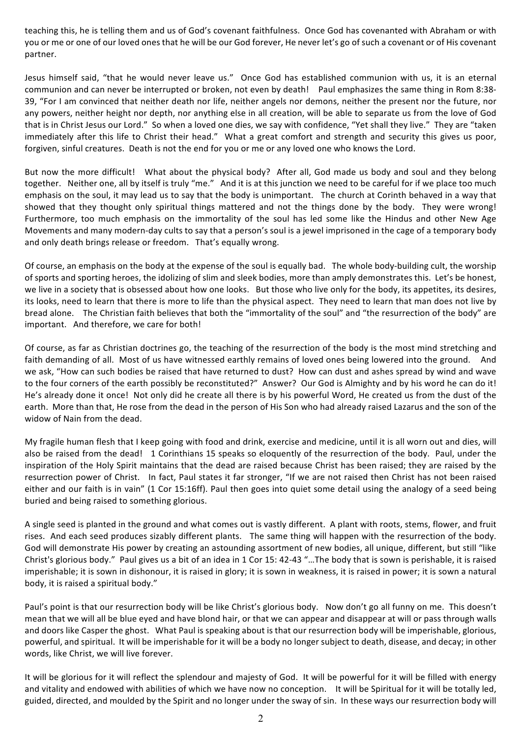teaching this, he is telling them and us of God's covenant faithfulness. Once God has covenanted with Abraham or with you or me or one of our loved ones that he will be our God forever, He never let's go of such a covenant or of His covenant partner. 

Jesus himself said, "that he would never leave us." Once God has established communion with us, it is an eternal communion and can never be interrupted or broken, not even by death! Paul emphasizes the same thing in Rom 8:38-39, "For I am convinced that neither death nor life, neither angels nor demons, neither the present nor the future, nor any powers, neither height nor depth, nor anything else in all creation, will be able to separate us from the love of God that is in Christ Jesus our Lord." So when a loved one dies, we say with confidence, "Yet shall they live." They are "taken immediately after this life to Christ their head." What a great comfort and strength and security this gives us poor, forgiven, sinful creatures. Death is not the end for you or me or any loved one who knows the Lord.

But now the more difficult! What about the physical body? After all, God made us body and soul and they belong together. Neither one, all by itself is truly "me." And it is at this junction we need to be careful for if we place too much emphasis on the soul, it may lead us to say that the body is unimportant. The church at Corinth behaved in a way that showed that they thought only spiritual things mattered and not the things done by the body. They were wrong! Furthermore, too much emphasis on the immortality of the soul has led some like the Hindus and other New Age Movements and many modern-day cults to say that a person's soul is a jewel imprisoned in the cage of a temporary body and only death brings release or freedom. That's equally wrong.

Of course, an emphasis on the body at the expense of the soul is equally bad. The whole body-building cult, the worship of sports and sporting heroes, the idolizing of slim and sleek bodies, more than amply demonstrates this. Let's be honest, we live in a society that is obsessed about how one looks. But those who live only for the body, its appetites, its desires, its looks, need to learn that there is more to life than the physical aspect. They need to learn that man does not live by bread alone. The Christian faith believes that both the "immortality of the soul" and "the resurrection of the body" are important. And therefore, we care for both!

Of course, as far as Christian doctrines go, the teaching of the resurrection of the body is the most mind stretching and faith demanding of all. Most of us have witnessed earthly remains of loved ones being lowered into the ground. And we ask, "How can such bodies be raised that have returned to dust? How can dust and ashes spread by wind and wave to the four corners of the earth possibly be reconstituted?" Answer? Our God is Almighty and by his word he can do it! He's already done it once! Not only did he create all there is by his powerful Word, He created us from the dust of the earth. More than that, He rose from the dead in the person of His Son who had already raised Lazarus and the son of the widow of Nain from the dead.

My fragile human flesh that I keep going with food and drink, exercise and medicine, until it is all worn out and dies, will also be raised from the dead! 1 Corinthians 15 speaks so eloquently of the resurrection of the body. Paul, under the inspiration of the Holy Spirit maintains that the dead are raised because Christ has been raised; they are raised by the resurrection power of Christ. In fact, Paul states it far stronger, "If we are not raised then Christ has not been raised either and our faith is in vain" (1 Cor 15:16ff). Paul then goes into quiet some detail using the analogy of a seed being buried and being raised to something glorious.

A single seed is planted in the ground and what comes out is vastly different. A plant with roots, stems, flower, and fruit rises. And each seed produces sizably different plants. The same thing will happen with the resurrection of the body. God will demonstrate His power by creating an astounding assortment of new bodies, all unique, different, but still "like Christ's glorious body." Paul gives us a bit of an idea in 1 Cor 15: 42-43 "...The body that is sown is perishable, it is raised imperishable; it is sown in dishonour, it is raised in glory; it is sown in weakness, it is raised in power; it is sown a natural body, it is raised a spiritual body."

Paul's point is that our resurrection body will be like Christ's glorious body. Now don't go all funny on me. This doesn't mean that we will all be blue eyed and have blond hair, or that we can appear and disappear at will or pass through walls and doors like Casper the ghost. What Paul is speaking about is that our resurrection body will be imperishable, glorious, powerful, and spiritual. It will be imperishable for it will be a body no longer subject to death, disease, and decay; in other words, like Christ, we will live forever.

It will be glorious for it will reflect the splendour and majesty of God. It will be powerful for it will be filled with energy and vitality and endowed with abilities of which we have now no conception. It will be Spiritual for it will be totally led, guided, directed, and moulded by the Spirit and no longer under the sway of sin. In these ways our resurrection body will